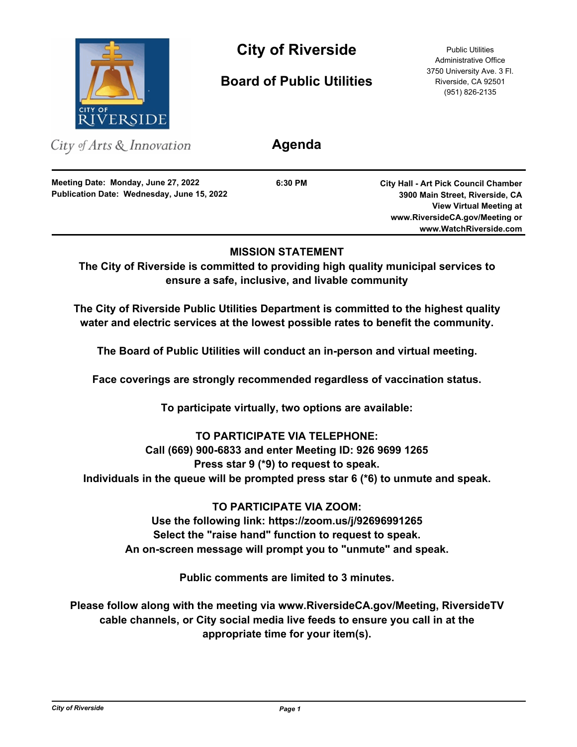

# **City of Riverside** Public Utilities

**Board of Public Utilities**

Administrative Office 3750 University Ave. 3 Fl. Riverside, CA 92501 (951) 826-2135

| City of Arts $\&$ Innovation                                                      | Agenda  |                                                                                                                                                    |
|-----------------------------------------------------------------------------------|---------|----------------------------------------------------------------------------------------------------------------------------------------------------|
| Meeting Date: Monday, June 27, 2022<br>Publication Date: Wednesday, June 15, 2022 | 6:30 PM | <b>City Hall - Art Pick Council Chamber</b><br>3900 Main Street, Riverside, CA<br><b>View Virtual Meeting at</b><br>www.RiversideCA.gov/Meeting or |
|                                                                                   |         | www.WatchRiverside.com                                                                                                                             |

## **MISSION STATEMENT**

**The City of Riverside is committed to providing high quality municipal services to ensure a safe, inclusive, and livable community**

**The City of Riverside Public Utilities Department is committed to the highest quality water and electric services at the lowest possible rates to benefit the community.**

**The Board of Public Utilities will conduct an in-person and virtual meeting.**

**Face coverings are strongly recommended regardless of vaccination status.**

**To participate virtually, two options are available:** 

## **TO PARTICIPATE VIA TELEPHONE:**

## **Call (669) 900-6833 and enter Meeting ID: 926 9699 1265**

**Press star 9 (\*9) to request to speak.** 

**Individuals in the queue will be prompted press star 6 (\*6) to unmute and speak.**

**TO PARTICIPATE VIA ZOOM:**

**Use the following link: https://zoom.us/j/92696991265 Select the "raise hand" function to request to speak. An on-screen message will prompt you to "unmute" and speak.**

**Public comments are limited to 3 minutes.**

**Please follow along with the meeting via www.RiversideCA.gov/Meeting, RiversideTV cable channels, or City social media live feeds to ensure you call in at the appropriate time for your item(s).**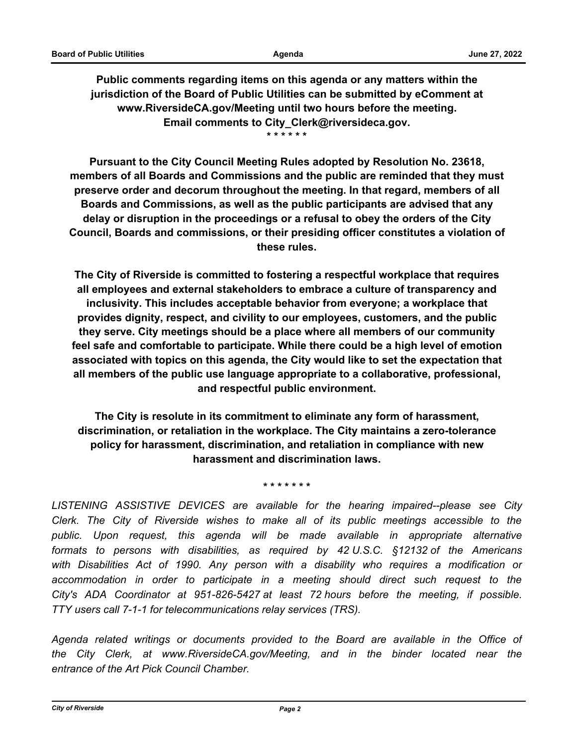**Public comments regarding items on this agenda or any matters within the jurisdiction of the Board of Public Utilities can be submitted by eComment at www.RiversideCA.gov/Meeting until two hours before the meeting. Email comments to City\_Clerk@riversideca.gov. \* \* \* \* \* \***

**Pursuant to the City Council Meeting Rules adopted by Resolution No. 23618, members of all Boards and Commissions and the public are reminded that they must preserve order and decorum throughout the meeting. In that regard, members of all Boards and Commissions, as well as the public participants are advised that any delay or disruption in the proceedings or a refusal to obey the orders of the City Council, Boards and commissions, or their presiding officer constitutes a violation of these rules.**

**The City of Riverside is committed to fostering a respectful workplace that requires all employees and external stakeholders to embrace a culture of transparency and inclusivity. This includes acceptable behavior from everyone; a workplace that provides dignity, respect, and civility to our employees, customers, and the public they serve. City meetings should be a place where all members of our community feel safe and comfortable to participate. While there could be a high level of emotion associated with topics on this agenda, the City would like to set the expectation that all members of the public use language appropriate to a collaborative, professional, and respectful public environment.**

**The City is resolute in its commitment to eliminate any form of harassment, discrimination, or retaliation in the workplace. The City maintains a zero-tolerance policy for harassment, discrimination, and retaliation in compliance with new harassment and discrimination laws.**

**\* \* \* \* \* \* \***

*LISTENING ASSISTIVE DEVICES are available for the hearing impaired--please see City Clerk. The City of Riverside wishes to make all of its public meetings accessible to the public. Upon request, this agenda will be made available in appropriate alternative formats to persons with disabilities, as required by 42 U.S.C. §12132 of the Americans with Disabilities Act of 1990. Any person with a disability who requires a modification or*  accommodation in order to participate in a meeting should direct such request to the *City's ADA Coordinator at 951-826-5427 at least 72 hours before the meeting, if possible. TTY users call 7-1-1 for telecommunications relay services (TRS).*

*Agenda related writings or documents provided to the Board are available in the Office of the City Clerk, at www.RiversideCA.gov/Meeting, and in the binder located near the entrance of the Art Pick Council Chamber.*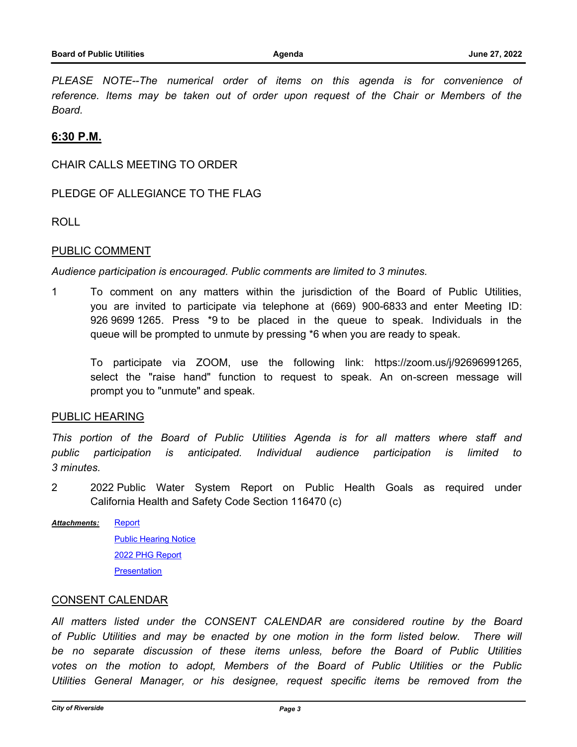PLEASE NOTE--The numerical order of items on this agenda is for convenience of *reference. Items may be taken out of order upon request of the Chair or Members of the Board.*

### **6:30 P.M.**

CHAIR CALLS MEETING TO ORDER

### PLEDGE OF ALLEGIANCE TO THE FLAG

ROLL

### PUBLIC COMMENT

*Audience participation is encouraged. Public comments are limited to 3 minutes.*

1 To comment on any matters within the jurisdiction of the Board of Public Utilities, you are invited to participate via telephone at (669) 900-6833 and enter Meeting ID: 926 9699 1265. Press \*9 to be placed in the queue to speak. Individuals in the queue will be prompted to unmute by pressing \*6 when you are ready to speak.

To participate via ZOOM, use the following link: https://zoom.us/j/92696991265, select the "raise hand" function to request to speak. An on-screen message will prompt you to "unmute" and speak.

### PUBLIC HEARING

*This portion of the Board of Public Utilities Agenda is for all matters where staff and public participation is anticipated. Individual audience participation is limited to 3 minutes.*

- 2 2022 Public Water System Report on Public Health Goals as required under California Health and Safety Code Section 116470 (c)
- **[Report](http://riversideca.legistar.com/gateway.aspx?M=F&ID=69d5be0d-161a-4b4f-9c99-0274e78e23e4.docx) [Public Hearing Notice](http://riversideca.legistar.com/gateway.aspx?M=F&ID=361eff1b-41d8-4ee4-afbf-df2c1e470d8c.pdf)** [2022 PHG Report](http://riversideca.legistar.com/gateway.aspx?M=F&ID=fc905ccb-2c2a-40e5-a615-19f1b1f25718.pdf) **[Presentation](http://riversideca.legistar.com/gateway.aspx?M=F&ID=65a4856b-953c-4508-adb4-908cde9f6d80.pdf)** *Attachments:*

### CONSENT CALENDAR

*All matters listed under the CONSENT CALENDAR are considered routine by the Board of Public Utilities and may be enacted by one motion in the form listed below. There will be no separate discussion of these items unless, before the Board of Public Utilities votes on the motion to adopt, Members of the Board of Public Utilities or the Public Utilities General Manager, or his designee, request specific items be removed from the*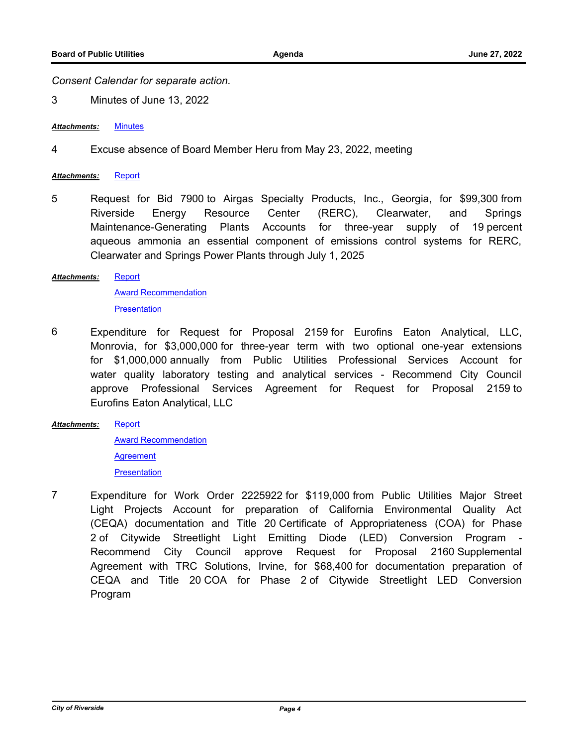*Consent Calendar for separate action.*

3 Minutes of June 13, 2022

*Attachments:* [Minutes](http://riversideca.legistar.com/gateway.aspx?M=F&ID=fa917cf4-bafa-4582-a68a-72aa9371d53f.pdf)

4 Excuse absence of Board Member Heru from May 23, 2022, meeting

#### *Attachments:* [Report](http://riversideca.legistar.com/gateway.aspx?M=F&ID=52d2d22f-95ee-42e1-a3b3-8aca12501cf7.docx)

5 Request for Bid 7900 to Airgas Specialty Products, Inc., Georgia, for \$99,300 from Riverside Energy Resource Center (RERC), Clearwater, and Springs Maintenance-Generating Plants Accounts for three-year supply of 19 percent aqueous ammonia an essential component of emissions control systems for RERC, Clearwater and Springs Power Plants through July 1, 2025

#### **[Report](http://riversideca.legistar.com/gateway.aspx?M=F&ID=63b56902-9643-49b5-aae6-3f4ad8e1ab80.docx)** *Attachments:*

[Award Recommendation](http://riversideca.legistar.com/gateway.aspx?M=F&ID=86e1f731-1001-4f35-bb83-b69f215c78ef.pdf) **[Presentation](http://riversideca.legistar.com/gateway.aspx?M=F&ID=f583c64c-3cec-4c7e-9538-92ca27f0f1bd.pdf)** 

- 6 Expenditure for Request for Proposal 2159 for Eurofins Eaton Analytical, LLC, Monrovia, for \$3,000,000 for three-year term with two optional one-year extensions for \$1,000,000 annually from Public Utilities Professional Services Account for water quality laboratory testing and analytical services - Recommend City Council approve Professional Services Agreement for Request for Proposal 2159 to Eurofins Eaton Analytical, LLC
- **[Report](http://riversideca.legistar.com/gateway.aspx?M=F&ID=dc471b75-1e9c-4924-ad53-e82a64560ad2.docx)** [Award Recommendation](http://riversideca.legistar.com/gateway.aspx?M=F&ID=b493a217-b85b-45d8-bfa7-120483e5d529.pdf) *Attachments:*

**[Agreement](http://riversideca.legistar.com/gateway.aspx?M=F&ID=ad79b205-2d3c-4f8c-9272-0fb300633fa2.pdf) [Presentation](http://riversideca.legistar.com/gateway.aspx?M=F&ID=536e66d6-1245-4a2c-a7a0-007df18c63f5.pdf)** 

7 Expenditure for Work Order 2225922 for \$119,000 from Public Utilities Major Street Light Projects Account for preparation of California Environmental Quality Act (CEQA) documentation and Title 20 Certificate of Appropriateness (COA) for Phase 2 of Citywide Streetlight Light Emitting Diode (LED) Conversion Program - Recommend City Council approve Request for Proposal 2160 Supplemental Agreement with TRC Solutions, Irvine, for \$68,400 for documentation preparation of CEQA and Title 20 COA for Phase 2 of Citywide Streetlight LED Conversion Program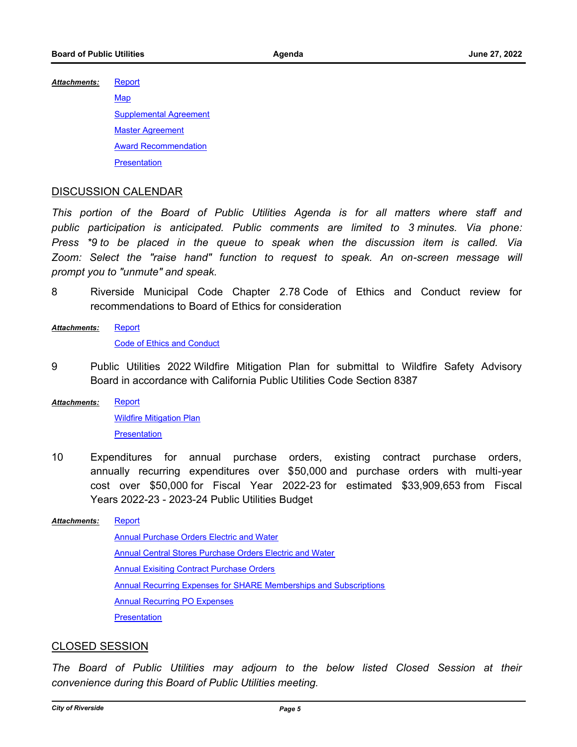**[Report](http://riversideca.legistar.com/gateway.aspx?M=F&ID=6a4f313e-9231-4f16-a40d-b6ec7d94cb6e.docx)** *Attachments:*

> **[Map](http://riversideca.legistar.com/gateway.aspx?M=F&ID=e1769bdd-87eb-4e21-9fb7-866d4f2a3e00.pdf)** [Supplemental Agreement](http://riversideca.legistar.com/gateway.aspx?M=F&ID=754b95e8-ac52-4eae-a52c-d8fe4dfd4349.pdf) [Master Agreement](http://riversideca.legistar.com/gateway.aspx?M=F&ID=b994e662-0a47-4f5b-ad7b-d6d7d67308bb.pdf) [Award Recommendation](http://riversideca.legistar.com/gateway.aspx?M=F&ID=f1acb9b8-ad88-4959-9c4d-136b836f0e9d.pdf) **[Presentation](http://riversideca.legistar.com/gateway.aspx?M=F&ID=0ea74246-43f4-4101-a080-835f9d185e57.pdf)**

### DISCUSSION CALENDAR

*This portion of the Board of Public Utilities Agenda is for all matters where staff and public participation is anticipated. Public comments are limited to 3 minutes. Via phone: Press \*9 to be placed in the queue to speak when the discussion item is called. Via*  Zoom: Select the "raise hand" function to request to speak. An on-screen message will *prompt you to "unmute" and speak.*

- 8 Riverside Municipal Code Chapter 2.78 Code of Ethics and Conduct review for recommendations to Board of Ethics for consideration
- **[Report](http://riversideca.legistar.com/gateway.aspx?M=F&ID=d66c1db0-14a1-44cd-a44a-1e92693baa60.docx)** [Code of Ethics and Conduct](http://riversideca.legistar.com/gateway.aspx?M=F&ID=e71fc54b-504e-40e0-bd3a-2f75bce1eaea.pdf) *Attachments:*
- 9 Public Utilities 2022 Wildfire Mitigation Plan for submittal to Wildfire Safety Advisory Board in accordance with California Public Utilities Code Section 8387
- **[Report](http://riversideca.legistar.com/gateway.aspx?M=F&ID=3aa65754-c026-4c50-96f1-b48cfe93add6.docx)** *Attachments:*

[Wildfire Mitigation Plan](http://riversideca.legistar.com/gateway.aspx?M=F&ID=0b7ab404-aed3-4a54-a340-bad96993a598.pdf) **[Presentation](http://riversideca.legistar.com/gateway.aspx?M=F&ID=76c8f7ac-8cd5-40fa-ad48-51346427684e.pdf)** 

10 Expenditures for annual purchase orders, existing contract purchase orders, annually recurring expenditures over \$50,000 and purchase orders with multi-year cost over \$50,000 for Fiscal Year 2022-23 for estimated \$33,909,653 from Fiscal Years 2022-23 - 2023-24 Public Utilities Budget

#### **[Report](http://riversideca.legistar.com/gateway.aspx?M=F&ID=8d1babe4-6335-470f-8912-56717a22e33a.docx)** *Attachments:*

[Annual Purchase Orders Electric and Water](http://riversideca.legistar.com/gateway.aspx?M=F&ID=8d86587f-cdd2-406c-9f16-88871888452c.pdf) [Annual Central Stores Purchase Orders Electric and Water](http://riversideca.legistar.com/gateway.aspx?M=F&ID=2c88c4e7-e53f-481d-b925-f8923ad8adc6.pdf) [Annual Exisiting Contract Purchase Orders](http://riversideca.legistar.com/gateway.aspx?M=F&ID=5b26efd2-79f6-42e2-b695-160d7eeb54e8.pdf) [Annual Recurring Expenses for SHARE Memberships and Subscriptions](http://riversideca.legistar.com/gateway.aspx?M=F&ID=1bbfe9fc-8a18-474a-a7aa-073dcf3cab69.pdf) [Annual Recurring PO Expenses](http://riversideca.legistar.com/gateway.aspx?M=F&ID=6bccc811-e0f8-47bd-9877-355283b6a234.pdf) **[Presentation](http://riversideca.legistar.com/gateway.aspx?M=F&ID=7a38df65-528e-49f9-842b-febaea24b82a.pdf)** 

### CLOSED SESSION

*The Board of Public Utilities may adjourn to the below listed Closed Session at their convenience during this Board of Public Utilities meeting.*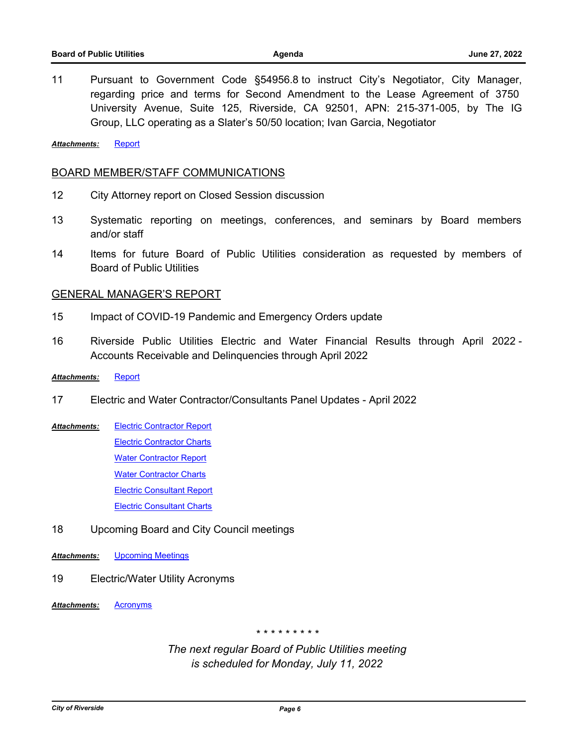11 Pursuant to Government Code §54956.8 to instruct City's Negotiator, City Manager, regarding price and terms for Second Amendment to the Lease Agreement of 3750 University Avenue, Suite 125, Riverside, CA 92501, APN: 215-371-005, by The IG Group, LLC operating as a Slater's 50/50 location; Ivan Garcia, Negotiator

*Attachments:* [Report](http://riversideca.legistar.com/gateway.aspx?M=F&ID=8d96a25a-ad77-4aa4-9b47-729e71272ceb.doc)

#### BOARD MEMBER/STAFF COMMUNICATIONS

- 12 City Attorney report on Closed Session discussion
- 13 Systematic reporting on meetings, conferences, and seminars by Board members and/or staff
- 14 Items for future Board of Public Utilities consideration as requested by members of Board of Public Utilities

#### GENERAL MANAGER'S REPORT

- 15 Impact of COVID-19 Pandemic and Emergency Orders update
- 16 Riverside Public Utilities Electric and Water Financial Results through April 2022 Accounts Receivable and Delinquencies through April 2022

#### *Attachments:* [Report](http://riversideca.legistar.com/gateway.aspx?M=F&ID=fd05811c-5d5d-453a-8e46-836286bbb7f4.pdf)

- 17 Electric and Water Contractor/Consultants Panel Updates April 2022
- [Electric Contractor Report](http://riversideca.legistar.com/gateway.aspx?M=F&ID=803d7dd8-c91d-4c0b-aa77-6373401181e5.docx) [Electric Contractor Charts](http://riversideca.legistar.com/gateway.aspx?M=F&ID=6c86d4a9-aacc-4a51-8f32-67eadd9ccf5b.pdf) [Water Contractor Report](http://riversideca.legistar.com/gateway.aspx?M=F&ID=579a9045-37da-41ac-a8ab-9591e4d36af5.docx) **[Water Contractor Charts](http://riversideca.legistar.com/gateway.aspx?M=F&ID=92068340-3540-498e-9e7f-adfc48a1e0c7.pdf)** [Electric Consultant Report](http://riversideca.legistar.com/gateway.aspx?M=F&ID=8e0761b0-4525-4e0f-acc1-983e84b28e91.docx) [Electric Consultant Charts](http://riversideca.legistar.com/gateway.aspx?M=F&ID=fc85c9f2-754d-4137-a7f6-8d66d59b20ce.pdf) *Attachments:*
- 18 Upcoming Board and City Council meetings
- *Attachments:* [Upcoming Meetings](http://riversideca.legistar.com/gateway.aspx?M=F&ID=55f54321-d08c-4824-94c5-11e04e8da0f8.docx)
- 19 Electric/Water Utility Acronyms
- *Attachments:* [Acronyms](http://riversideca.legistar.com/gateway.aspx?M=F&ID=65395e14-41bc-4ce6-9691-5d2800af1107.pdf)

*\* \* \* \* \* \* \* \* \**

*The next regular Board of Public Utilities meeting is scheduled for Monday, July 11, 2022*